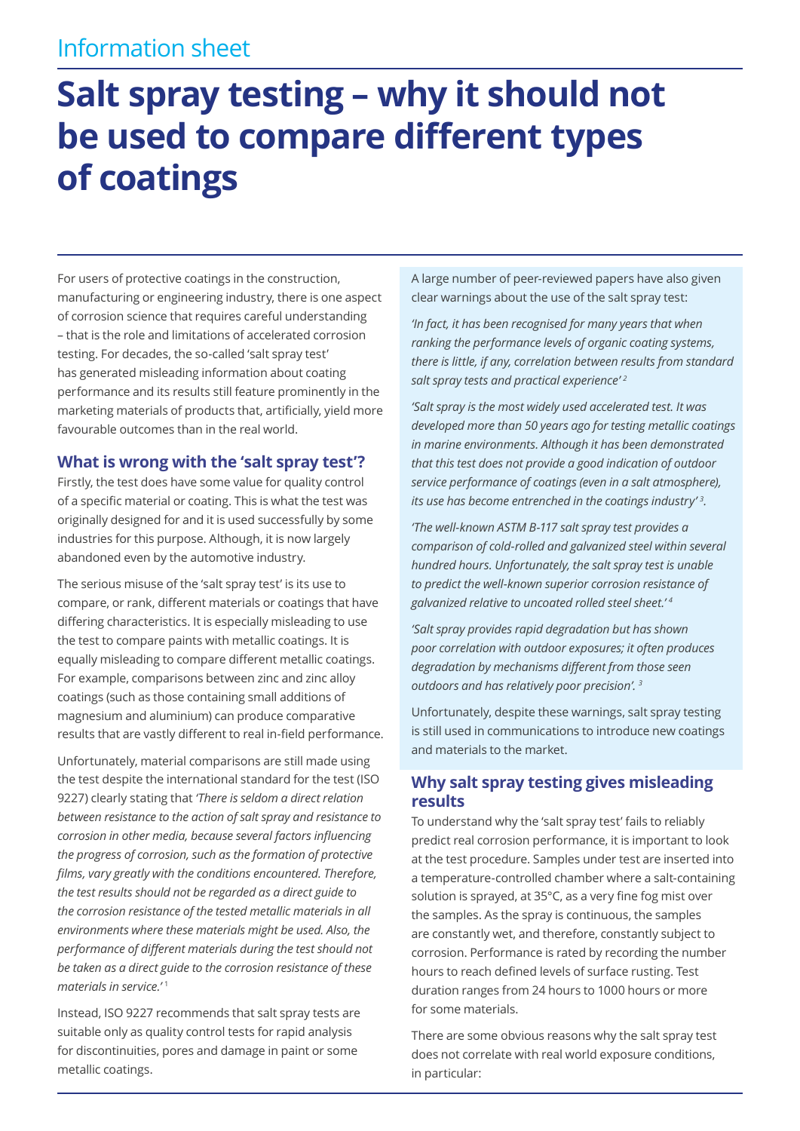## Information sheet

# **Salt spray testing – why it should not be used to compare different types of coatings**

For users of protective coatings in the construction, manufacturing or engineering industry, there is one aspect of corrosion science that requires careful understanding – that is the role and limitations of accelerated corrosion testing. For decades, the so-called 'salt spray test' has generated misleading information about coating performance and its results still feature prominently in the marketing materials of products that, artificially, yield more favourable outcomes than in the real world.

#### **What is wrong with the 'salt spray test'?**

Firstly, the test does have some value for quality control of a specific material or coating. This is what the test was originally designed for and it is used successfully by some industries for this purpose. Although, it is now largely abandoned even by the automotive industry.

The serious misuse of the 'salt spray test' is its use to compare, or rank, different materials or coatings that have differing characteristics. It is especially misleading to use the test to compare paints with metallic coatings. It is equally misleading to compare different metallic coatings. For example, comparisons between zinc and zinc alloy coatings (such as those containing small additions of magnesium and aluminium) can produce comparative results that are vastly different to real in-field performance.

Unfortunately, material comparisons are still made using the test despite the international standard for the test (ISO 9227) clearly stating that *'There is seldom a direct relation between resistance to the action of salt spray and resistance to corrosion in other media, because several factors influencing the progress of corrosion, such as the formation of protective films, vary greatly with the conditions encountered. Therefore, the test results should not be regarded as a direct guide to the corrosion resistance of the tested metallic materials in all environments where these materials might be used. Also, the performance of different materials during the test should not be taken as a direct guide to the corrosion resistance of these materials in service.'* <sup>1</sup>

Instead, ISO 9227 recommends that salt spray tests are suitable only as quality control tests for rapid analysis for discontinuities, pores and damage in paint or some metallic coatings.

A large number of peer-reviewed papers have also given clear warnings about the use of the salt spray test:

*'In fact, it has been recognised for many years that when ranking the performance levels of organic coating systems, there is little, if any, correlation between results from standard salt spray tests and practical experience' <sup>2</sup>*

*'Salt spray is the most widely used accelerated test. It was developed more than 50 years ago for testing metallic coatings in marine environments. Although it has been demonstrated that this test does not provide a good indication of outdoor service performance of coatings (even in a salt atmosphere), its use has become entrenched in the coatings industry' <sup>3</sup> .*

*'The well-known ASTM B-117 salt spray test provides a comparison of cold-rolled and galvanized steel within several hundred hours. Unfortunately, the salt spray test is unable to predict the well-known superior corrosion resistance of galvanized relative to uncoated rolled steel sheet.' <sup>4</sup>*

*'Salt spray provides rapid degradation but has shown poor correlation with outdoor exposures; it often produces degradation by mechanisms different from those seen outdoors and has relatively poor precision'. <sup>3</sup>*

Unfortunately, despite these warnings, salt spray testing is still used in communications to introduce new coatings and materials to the market.

#### **Why salt spray testing gives misleading results**

To understand why the 'salt spray test' fails to reliably predict real corrosion performance, it is important to look at the test procedure. Samples under test are inserted into a temperature-controlled chamber where a salt-containing solution is sprayed, at 35°C, as a very fine fog mist over the samples. As the spray is continuous, the samples are constantly wet, and therefore, constantly subject to corrosion. Performance is rated by recording the number hours to reach defined levels of surface rusting. Test duration ranges from 24 hours to 1000 hours or more for some materials.

There are some obvious reasons why the salt spray test does not correlate with real world exposure conditions, in particular: